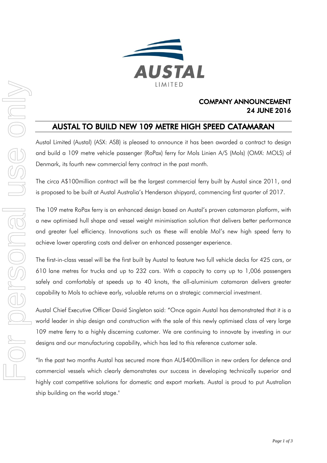

## COMPANY ANNOUNCEMENT 24 JUNE 2016

# AUSTAL TO BUILD NEW 109 METRE HIGH SPEED CATAMARAN

Austal Limited (Austal) (ASX: ASB) is pleased to announce it has been awarded a contract to design and build a 109 metre vehicle passenger (RoPax) ferry for Mols Linien A/S (Mols) (OMX: MOLS) of Denmark, its fourth new commercial ferry contract in the past month.

The circa A\$100million contract will be the largest commercial ferry built by Austal since 2011, and is proposed to be built at Austal Australia's Henderson shipyard, commencing first quarter of 2017.

The 109 metre RoPax ferry is an enhanced design based on Austal's proven catamaran platform, with a new optimised hull shape and vessel weight minimisation solution that delivers better performance and greater fuel efficiency. Innovations such as these will enable Mol's new high speed ferry to achieve lower operating costs and deliver an enhanced passenger experience.

The first-in-class vessel will be the first built by Austal to feature two full vehicle decks for 425 cars, or 610 lane metres for trucks and up to 232 cars. With a capacity to carry up to 1,006 passengers safely and comfortably at speeds up to 40 knots, the all-aluminium catamaran delivers greater capability to Mols to achieve early, valuable returns on a strategic commercial investment.

Austal Chief Executive Officer David Singleton said: "Once again Austal has demonstrated that it is a world leader in ship design and construction with the sale of this newly optimised class of very large 109 metre ferry to a highly discerning customer. We are continuing to innovate by investing in our designs and our manufacturing capability, which has led to this reference customer sale.

"In the past two months Austal has secured more than AU\$400million in new orders for defence and commercial vessels which clearly demonstrates our success in developing technically superior and highly cost competitive solutions for domestic and export markets. Austal is proud to put Australian ship building on the world stage."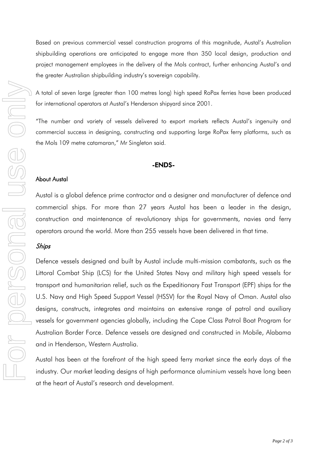Based on previous commercial vessel construction programs of this magnitude, Austal's Australian shipbuilding operations are anticipated to engage more than 350 local design, production and project management employees in the delivery of the Mols contract, further enhancing Austal's and the greater Australian shipbuilding industry's sovereign capability.

A total of seven large (greater than 100 metres long) high speed RoPax ferries have been produced for international operators at Austal's Henderson shipyard since 2001.

"The number and variety of vessels delivered to export markets reflects Austal's ingenuity and commercial success in designing, constructing and supporting large RoPax ferry platforms, such as the Mols 109 metre catamaran," Mr Singleton said.

### -ENDS-

### About Austal

Austal is a global defence prime contractor and a designer and manufacturer of defence and commercial ships. For more than 27 years Austal has been a leader in the design, construction and maintenance of revolutionary ships for governments, navies and ferry operators around the world. More than 255 vessels have been delivered in that time.

Defence vessels designed and built by Austal include multi-mission combatants, such as the Littoral Combat Ship (LCS) for the United States Navy and military high speed vessels for transport and humanitarian relief, such as the Expeditionary Fast Transport (EPF) ships for the U.S. Navy and High Speed Support Vessel (HSSV) for the Royal Navy of Oman. Austal also designs, constructs, integrates and maintains an extensive range of patrol and auxiliary vessels for government agencies globally, including the Cape Class Patrol Boat Program for Australian Border Force. Defence vessels are designed and constructed in Mobile, Alabama and in Henderson, Western Australia.

Austal has been at the forefront of the high speed ferry market since the early days of the industry. Our market leading designs of high performance aluminium vessels have long been at the heart of Austal's research and development.